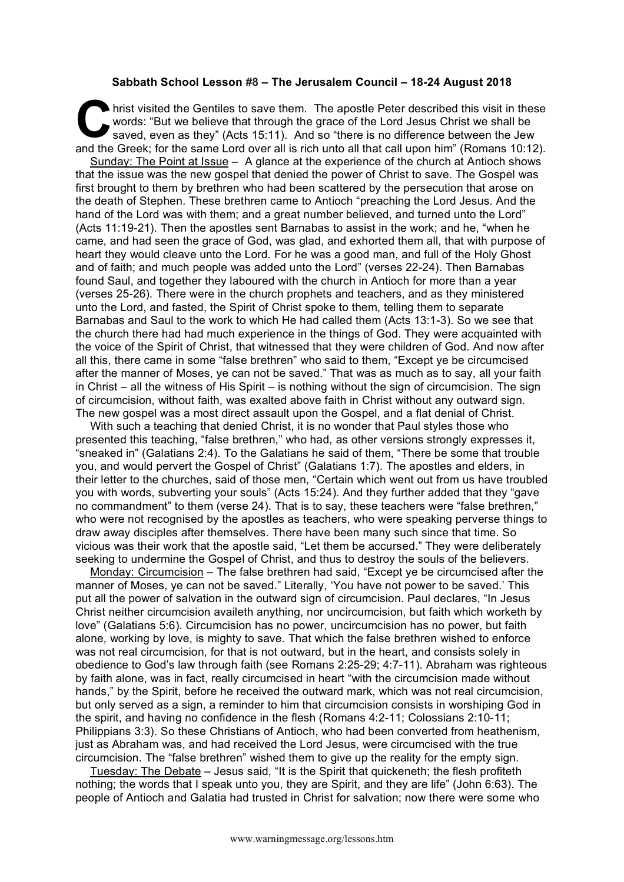## **Sabbath School Lesson #8 – The Jerusalem Council – 18-24 August 2018**

hrist visited the Gentiles to save them. The apostle Peter described this visit in these words: "But we believe that through the grace of the Lord Jesus Christ we shall be saved, even as they" (Acts 15:11). And so "there is no difference between the Jew and the Greek; for the same Lord over all is rich unto all that call upon him" (Romans 10:12). C **krist**<br>says says and the C

Sunday: The Point at Issue - A glance at the experience of the church at Antioch shows that the issue was the new gospel that denied the power of Christ to save. The Gospel was first brought to them by brethren who had been scattered by the persecution that arose on the death of Stephen. These brethren came to Antioch "preaching the Lord Jesus. And the hand of the Lord was with them; and a great number believed, and turned unto the Lord" (Acts 11:19-21). Then the apostles sent Barnabas to assist in the work; and he, "when he came, and had seen the grace of God, was glad, and exhorted them all, that with purpose of heart they would cleave unto the Lord. For he was a good man, and full of the Holy Ghost and of faith; and much people was added unto the Lord" (verses 22-24). Then Barnabas found Saul, and together they laboured with the church in Antioch for more than a year (verses 25-26). There were in the church prophets and teachers, and as they ministered unto the Lord, and fasted, the Spirit of Christ spoke to them, telling them to separate Barnabas and Saul to the work to which He had called them (Acts 13:1-3). So we see that the church there had had much experience in the things of God. They were acquainted with the voice of the Spirit of Christ, that witnessed that they were children of God. And now after all this, there came in some "false brethren" who said to them, "Except ye be circumcised after the manner of Moses, ye can not be saved." That was as much as to say, all your faith in Christ – all the witness of His Spirit – is nothing without the sign of circumcision. The sign of circumcision, without faith, was exalted above faith in Christ without any outward sign. The new gospel was a most direct assault upon the Gospel, and a flat denial of Christ.

With such a teaching that denied Christ, it is no wonder that Paul styles those who presented this teaching, "false brethren," who had, as other versions strongly expresses it, "sneaked in" (Galatians 2:4). To the Galatians he said of them, "There be some that trouble you, and would pervert the Gospel of Christ" (Galatians 1:7). The apostles and elders, in their letter to the churches, said of those men, "Certain which went out from us have troubled you with words, subverting your souls" (Acts 15:24). And they further added that they "gave no commandment" to them (verse 24). That is to say, these teachers were "false brethren," who were not recognised by the apostles as teachers, who were speaking perverse things to draw away disciples after themselves. There have been many such since that time. So vicious was their work that the apostle said, "Let them be accursed." They were deliberately seeking to undermine the Gospel of Christ, and thus to destroy the souls of the believers.

Monday: Circumcision – The false brethren had said, "Except ye be circumcised after the manner of Moses, ye can not be saved." Literally, 'You have not power to be saved.' This put all the power of salvation in the outward sign of circumcision. Paul declares, "In Jesus Christ neither circumcision availeth anything, nor uncircumcision, but faith which worketh by love" (Galatians 5:6). Circumcision has no power, uncircumcision has no power, but faith alone, working by love, is mighty to save. That which the false brethren wished to enforce was not real circumcision, for that is not outward, but in the heart, and consists solely in obedience to God's law through faith (see Romans 2:25-29; 4:7-11). Abraham was righteous by faith alone, was in fact, really circumcised in heart "with the circumcision made without hands," by the Spirit, before he received the outward mark, which was not real circumcision, but only served as a sign, a reminder to him that circumcision consists in worshiping God in the spirit, and having no confidence in the flesh (Romans 4:2-11; Colossians 2:10-11; Philippians 3:3). So these Christians of Antioch, who had been converted from heathenism, just as Abraham was, and had received the Lord Jesus, were circumcised with the true circumcision. The "false brethren" wished them to give up the reality for the empty sign.

Tuesday: The Debate – Jesus said, "It is the Spirit that quickeneth; the flesh profiteth nothing; the words that I speak unto you, they are Spirit, and they are life" (John 6:63). The people of Antioch and Galatia had trusted in Christ for salvation; now there were some who